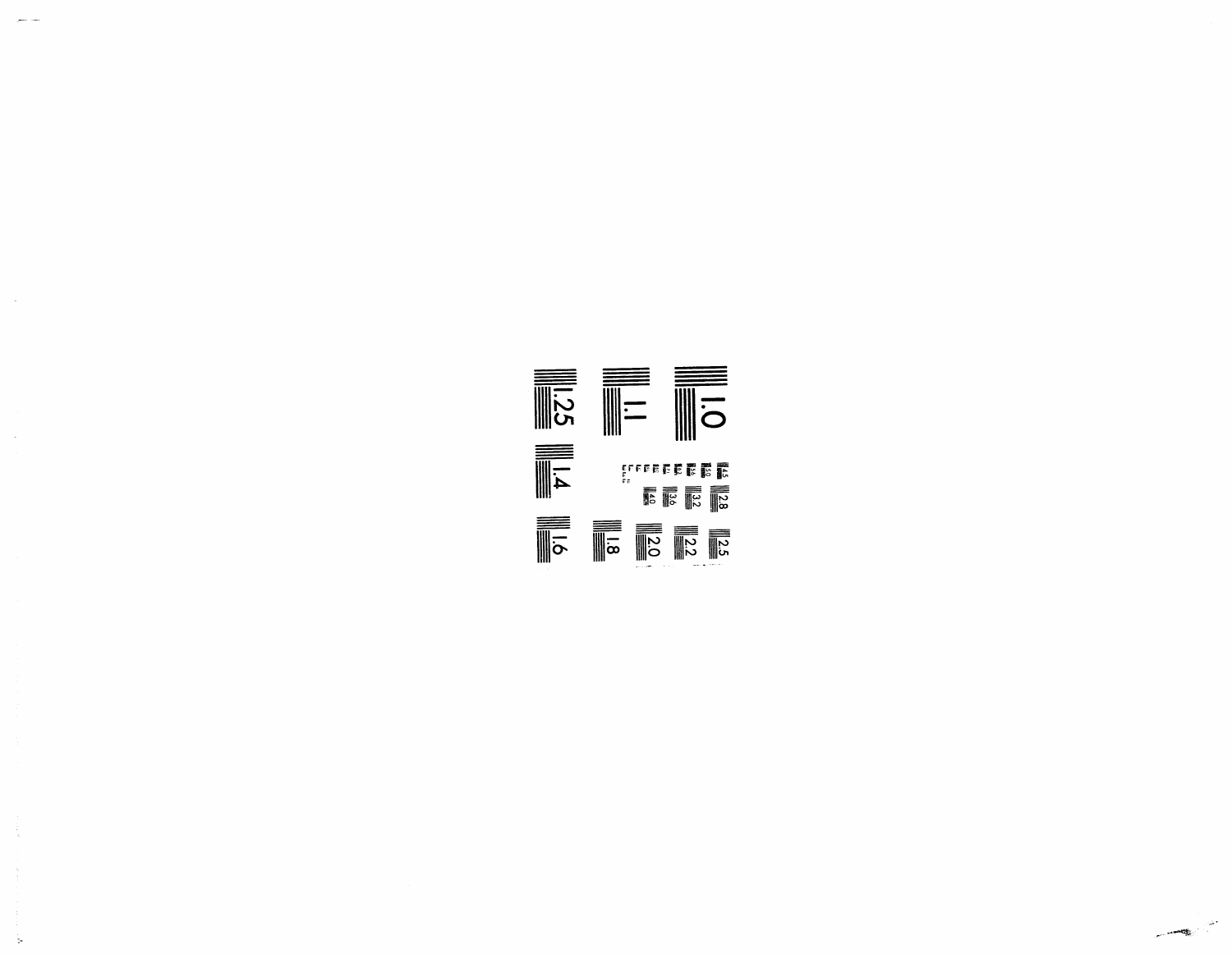

 $\frac{1}{2}$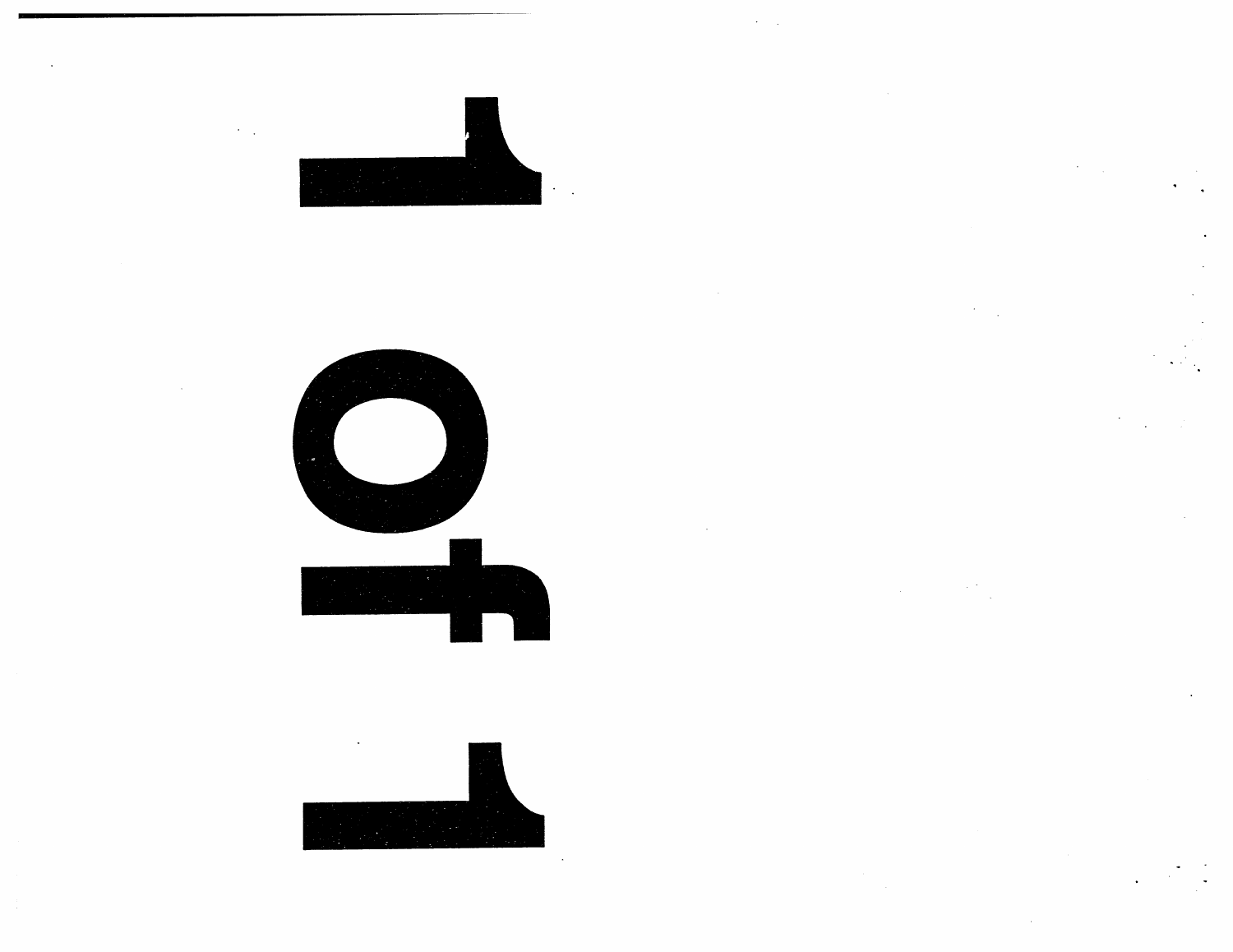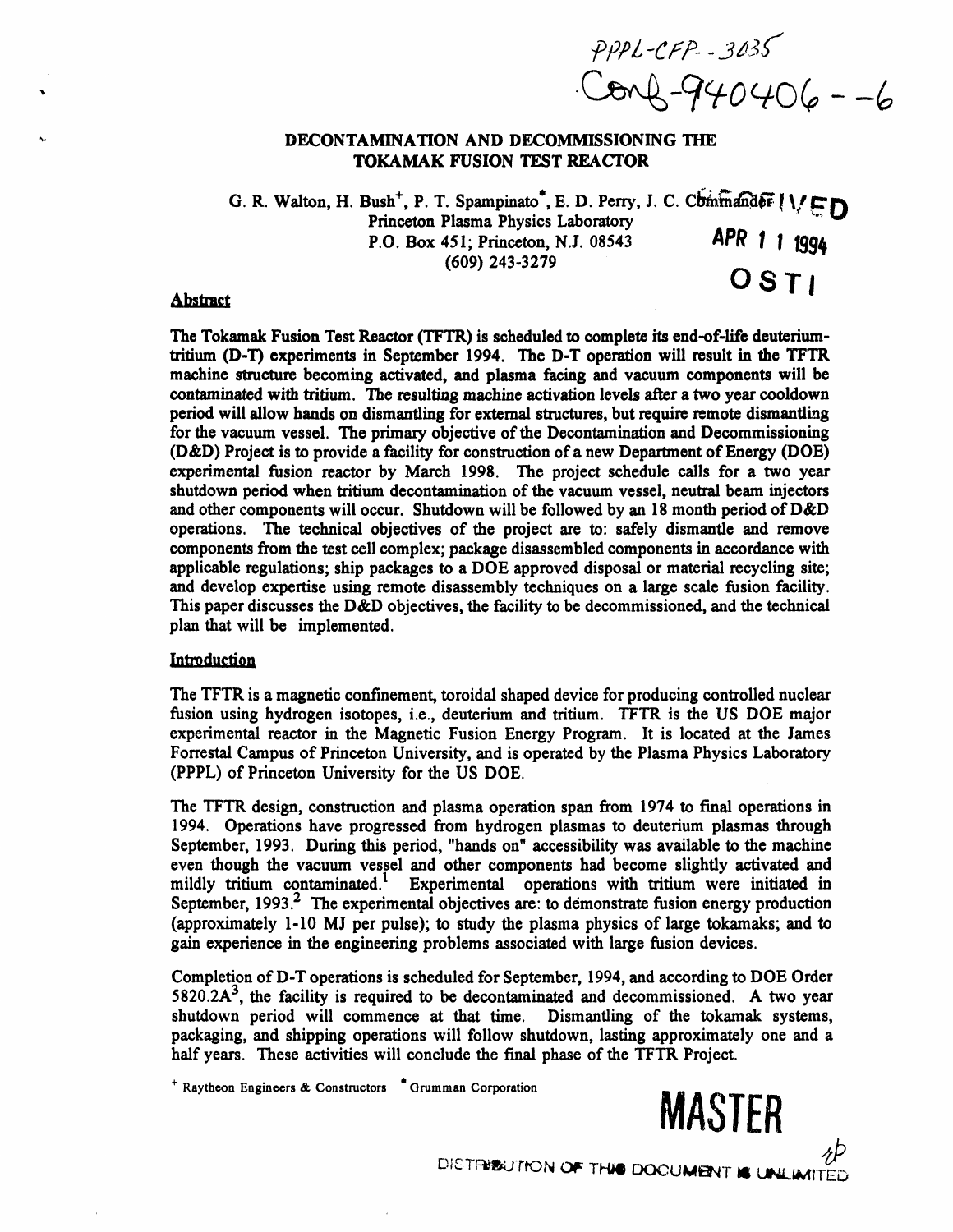. *2*  $-Con6 - 940406 - 6$ 

# '- **DECONTAMINATION AND DECOMMISSIONING THE TOKAMAK FUSION TEST REACTOR**

• all  $P$ **Prince***to***n Plasma Physics Laboratory** P.O. Box 451; Princeton, N.J. 08543 **APR 1 1 1994**  $(609)$  243-3279 (6**09) 24**3**-**3**27**9 O **\_**,**\_** r **|**

## **Abstract**

**The Tokamak Fusion Test Reactor (TFTR) is scheduled to complete its end-of-life deuterium**tritium (D-T) experiments in September 1994. The D-T operation will result in the TFTR machine structure becoming activated, and plasma facing and vacuum components will be contaminated with tritium. The resulting machine activation levels after a two year cooldown **p**e**riodwill** al**low hands on dis**man**tlin**g **for** e*x***t**e**rn**al **structu**re**s,but**re**qui**re rem**o**te **dis**man**tlin**g **for th**e **v**ac**uum v**e**ss**e**l.** The **primaryobj**e**ctiv**e **of** the **D**eco**ntam**in**ation**an**d D**ecomm**i**s**sion**in**g** (D&D) Project is to provide a facility for construction of a new Department of Energy (DOE) experimental fusion reactor by March 1998. The project schedule calls for a two year shutdown period when tritium decontamination of the vacuum vessel, neutral beam injectors **and other components will occur.** Shutdown will be followed by an 18 month period of D&D operations. The technical objectives of the project are to: safely dismantle and remove **op**e**rations. The** te**chnic**al **obj**e**ctives of** the **proj**e**ct ar**e **to: saf**e**ly dis**m**an**tle **and r**em**ov**e components from the test cell complex; package disassembled components in accordance with **applicable** re**gulations; ship p**ac**k**age**s** to **a DOE approv**e**ddispos**al **or** m**a**teri**al** re**cycl**in**g si**te; and develop expertise using remote disassembly techniques on a large scale fusion facility. Th**is pap**e**rdiscusses** the **D&D obj**e**c**ti**v**e**s,** the **f**ac**ility** to **b**e **d**e**commission**e**d***,* an**d** the techn**ical plan** th**at will be implement**e**d.**

### Introduction

The TFTR is a magnetic confinement, toroidal shaped device for producing controlled nuclear **fusion us**in**g hydrogen iso**to**pes, i.e., deu**te**riu**m **and tritium. TFTR is** the **U**S **DOE ma**j**or e**x**perimen**t**al reac**t**or** in th**e** M**agnetic Fusi**o**n Energ**y **Program. It** is **l**o**ca**t**ed at** th**e J**am**e**s **Forres**t**alC**am**pus of Prince**to**n Unive**rs**ity,** an**d** i**s ope**rate**d by** th**e Pl**as**ma Physics Labora**tory **(PPPL)** o**f P**ri**nce**to**n Uni**v**er**s**i**t**y for** th**e US D**O**E.**

Th**e TFTR d**e**sign, construction** an**d plasma operation sp**an **from 1974** to **final op**e**rations in 1994. Operations have progressed from hydrogen pl**as**mas** to **deu**te**rium pl**as**m**as th**rough September, 199**3**. During** th**is pe**ri**od,** "**h**an**ds on**" **acc**e**ssibili**ty **w**as **availabl**e **to** th**e m**ac**h**in**e ev**e**n** th**ough** th**e v**ac**u**um **vessel** an**d o**th**er** com**ponents had be**co**m**e **slightly a***c*ti**vated** an**d mildly triti**um **contaminated.I Experiment**al **ope**ra**tions wi**th **tritium were** in**itia**te**d** in **Sep**te**mber, 1993.2** Th**e experimentalobjectives are:to d**e**monstrate**fu**sion energy production (**ap**proxima**te**ly I-10 MJ p**e**r pulse);** to **study** the **plasma physics of larg**e to**k**am**aks**; an**d to gain expe**ri**ence in** th**e engine**e**ring problems** as**sociated wi**th **l**ar**ge** fu**sion devi**ce**s.**

**Completionof D-T op**era**tions is schedul**e**d for S**e**p**te**mber, 1994, and ac**co**rding**to **D**O**E** O**rd**e**r** 5**820.2A**\_**,** th**e facili**ty **is requi**re**d** t*o* **be d**eco**ntam**in**atedand de**co**mmissioned. A two year shu**td**own period will** co**mmen**ce **a**t **th**at **time. Disman**tl**ing of** th**e** to**k**am**ak sys**te**ms, p**ac**kaging, and shipp**in**g opera**t**ions will follow shu**td**own, l**ast**ing approxi**m**a**t**ely one** an**d a h**al**f years. These** act**ivities will conclude** th**e** fi**n**al **ph**as**e of** th**e TFTR Projec**t**.**

 $+$  Raytheon Engineers & Constructors  $-$  Grumman Corporation

# **+R**a**y**t**h**eon**E**n**gin**ee**rs&C**on**stru**c**t**o**\*Or rs** u**mm**an**Corpor**at**io**n M*A*\_[R

ĄÞ DICTFINISUTION OF THUS DOCUMENT IS UNLIMITED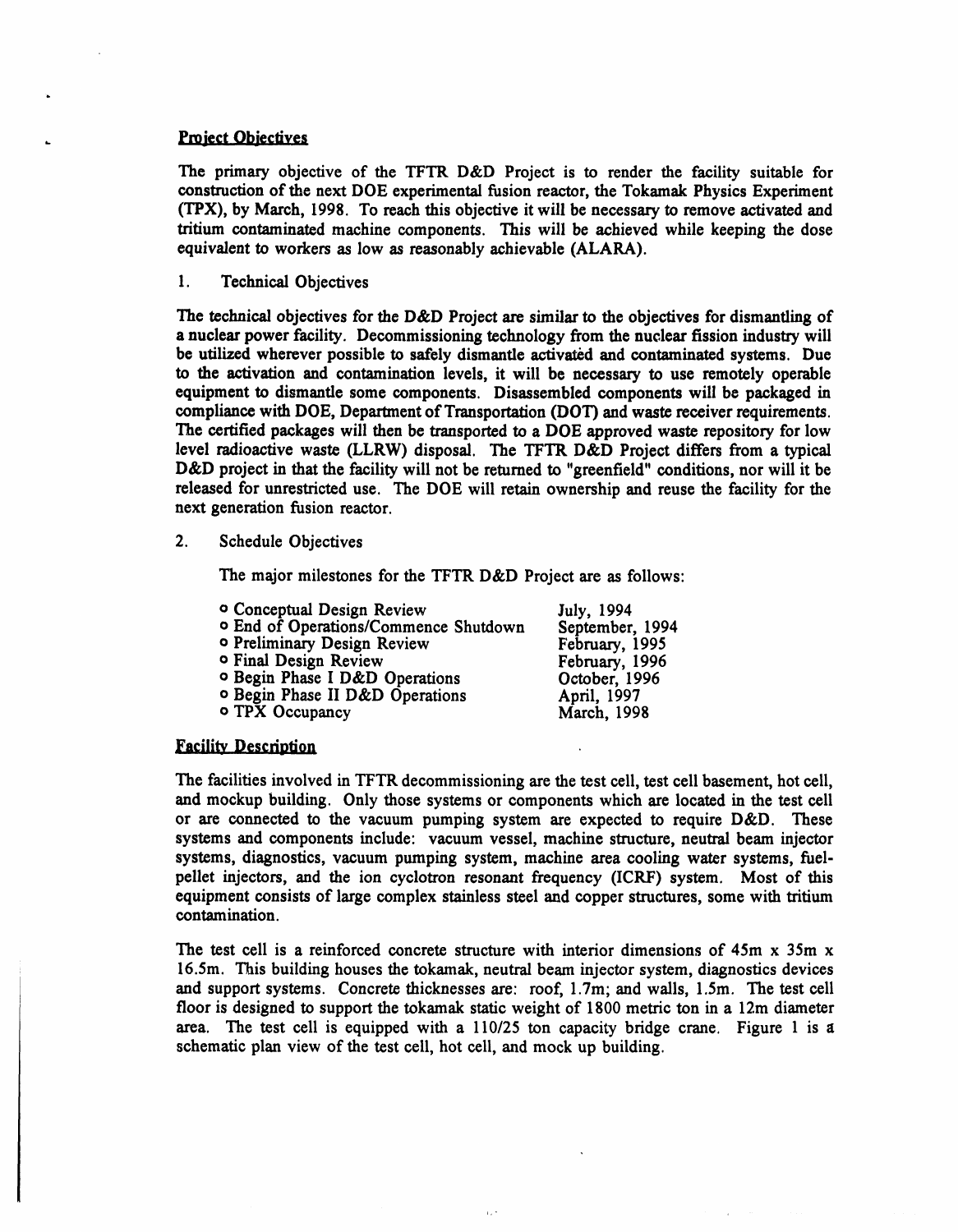### **. Project Objectives**

**Th**e **primary objec**t**ive of th**e **TFTR D&D Proj**ec**t is to r**e**nd**e**r th**e **facility suitabl**e **for construction of th**e **next DOE** e**xp**e**rimental fusion reactor, th**e T**okamak Physics Experiment** (TPX), by March, 1998. To reach this objective it will be necessary to remove activated and **tritium** co**ntaminat**e**d** mac**hin**e co**mpon**e**nts. This will b**e **achi**e**v**e**d whil**e **k**ee**ping th**e **dos**e e**quival**e**nt to work**e**rs as low** as reas**onably** ac**hi**e**vabl**e **(ALARA).**

# 1**. T**e**chnical Obj**e**c**ti**v**e**s**

The te**c**hn**ical obj**e**ctiv**e**s for** the **D&D Proj**e**ct ar**e **simil**ar to the **obj**e**ctiv**e**s for dismantl**in**g of a nucl**e**ar pow**e**r f**ac**ility. D**eco**mmissioning t**e**chnology from th**e **nu**c**l**ear **fission** in**dustry will** be utilized wherever possible to safely dismantle activated and contaminated systems. Due to the activation and contamination levels, it will be necessary to use remotely operable e**quipm**e**nt to di**s**m**an**tl**e **som**e com**pon**e**nts. Dis**as**s**e**mbl**e**d** co**mpon**e**nts will b**e **p**ac**kag**e**d** in compliance with DOE, Department of Transportation (DOT) and waste receiver requirements. The certified packages will then be transported to a DOE approved waste repository for low **l**e**v**e**l radioactiv**e **w**aste **(LLRW) disposal.** The **TFTR D&D Proj**ec**t diff**e**rs from a typical** D&D project in that the facility will not be returned to "greenfield" conditions, nor will it be released for unrestricted use. The DOE will retain ownership and reuse the facility for the **n**e**xt g**e**n**e**ration fusion r**eacto**r.**

# **2. Sch**e**dul**e **Obj**e**ctiv**e**s**

**The major milestones for** th**e TFTR D**&**D Project** are **as follows**:

| o Conceptual Design Review            | July, 1994      |
|---------------------------------------|-----------------|
| o End of Operations/Commence Shutdown | September, 1994 |
| o Preliminary Design Review           | February, 1995  |
| <b>o Final Design Review</b>          | February, 1996  |
| o Begin Phase I D&D Operations        | October, 1996   |
| o Begin Phase II D&D Operations       | April, 1997     |
| <b>o TPX Occupancy</b>                | March, 1998     |
|                                       |                 |

# **Facility Description**

The facilities involved in TFTR decommissioning are the test cell, test cell basement, hot cell, and mockup building. Only those systems or components which are located in the test cell **or** are co**nn**e**ct**e**d** to **th**e **v**ac**uum pumping sys**tem **ar**e e**xp**ecte**d** to **r**e**quir**e **D&D.** The**s**e systems and components include: vacuum vessel, machine structure, neutral beam injector systems, diagnostics, vacuum pumping system, machine area cooling water systems, fuelpellet injectors, and the ion cyclotron resonant frequency (ICRF) system. Most of this equipment consists of large complex stainless steel and copper structures, some with tritium co**ntam**in**ati**on**.**

The test cell is a reinforced concrete structure with interior dimensions of  $45m \times 35m \times$ 16.5m. This building houses the tokamak, neutral beam injector system, diagnostics devices an**d suppor**t **sys**te**ms. Concre**te th**icknesses** ar**e**: r**oof, 1.7**m**,** an**d walls, 1.**5**m. The** te**s**t ce**ll floor is designed** to **suppor**t th**e** to**k**am**ak s**t**atic weigh**t **of 1800 me**tr**ic** t**on** in **a** 1**2**m **diame**te**r** area. The test cell is equipped with a 110/25 ton capacity bridge crane. Figure 1 is a **schematic plan view of** th**e** te**s**t **cell, ho**t **cell, and mock up building.**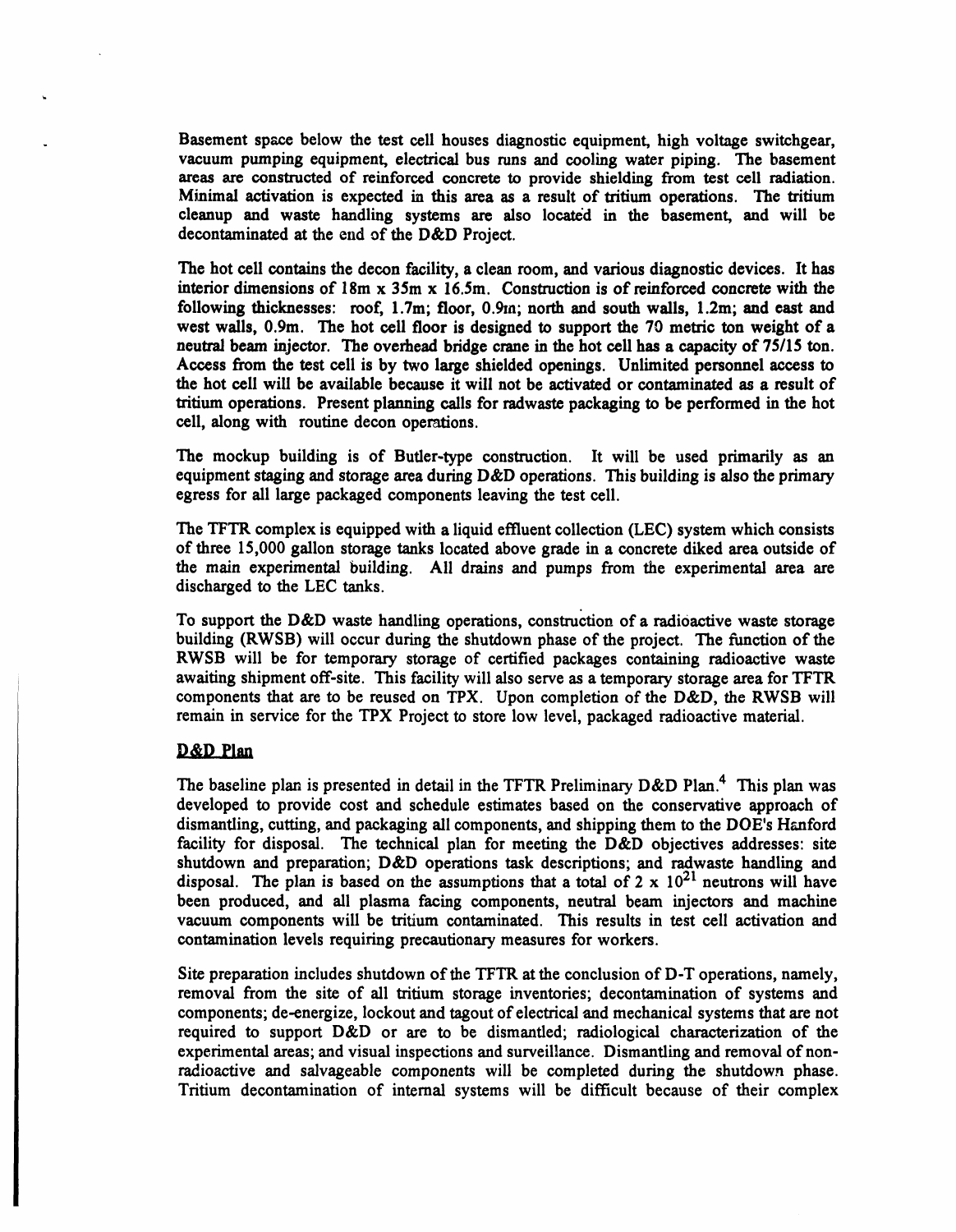Basement space below the test cell houses diagnostic equipment, high voltage switchgear, vacuum pumping equipment, electrical bus runs and cooling water piping. The basement areas are constructed of reinforced concrete to provide shielding from test cell radiation. Minimal activation is expected in this area as a result of tritium operations. The tritium cleanup and waste handling systems are also located in the basement, and will be **d**econ**tam**in**a**te**d at** the **end** o**f** the **D&D Proj**ec**t.**

The hot cell contains the decon facility, a clean room, and various diagnostic devices. It has interior dimensions of  $18m \times 35m \times 16.5m$ . Construction is of reinforced concrete with the following thicknesses: roof. 1.7m: floor. 0.9m: north and south walls. 1.2m: and east and west walls, 0.9m. The hot cell floor is designed to support the 70 metric ton weight of a neutral beam injector. The overhead bridge crane in the hot cell has a capacity of 75/15 ton. **Access from** the te**st cell is by two larg**e **shi**e**ld**e**d openings. Unl**im**i**te**d p**e**rson**ne**l access** to the hot cell will be available because it will not be activated or contaminated as a result of tritium operations. Present planning calls for radwaste packaging to be performed in the hot ce**ll, alon**g **wi**th **routin**e **d**eco**n op**e**r**a**tio**n**s.**

The **mo**c**kup build**ing **is of Butl**e**r**-ty**p**e co**nstru**c**tion. It will b**e u**s**e**d primarily** as an equipment staging and storage area during  $D&D$  operations. This building is also the primary e**gr***e***ss for** al**l larg**o **p**ac**k**age**d** c**o**m**pon**en**ts l**e**av**ing the te**st** ce**ll.**

The TFTR complex is equipped with a liquid effluent collection (LEC) system which consists of three 15,000 gallon storage tanks located above grade in a concrete diked area outside of the main experimental building. All drains and pumps from the experimental area are **d**i**sch**ar**ged** to th**e LEC** t**anks.**

To support the D&D waste handling operations, construction of a radioactive waste storage building (RWSB) will occur during the shutdown phase of the project. The function of the RWSB will be for temporary storage of certified packages containing radioactive waste awaiting shipment off-site. This facility will also serve as a temporary storage area for TFTR components that are to be reused on TPX. Upon completion of the D&D, the RWSB will remain in service for the TPX Project to store low level, packaged radioactive material.

# D&D Plan

The baseline plan is presented in detail in the TFTR Preliminary D&D Plan.<sup>4</sup> This plan was **developed** to **provide cos**t an**d schedule es**ti**ma**te**s based on** t**he conse**rv**a**ti**ve appro**ac**h of dism**ant**ling, cu**tt**ing,** an**d pack**agin**g all** com**ponents,** an**d shipp**in**g** th**e**m to th**e DOE's H**\_**nford f**ac**ility for dispos**al**.** Th**e** te**chnic**al **plan for mee**ti**ng** th**e D**&**D objec**t**ives** ad**dresses: si**te **shu**t**down** an**d prepara**ti**on; D**&**D opera**ti**ons** t**ask descrip**ti**ons;** an**d radwas**te **h**an**dl**in**g** an**d** disposal. The plan is based on the assumptions that a total of  $2 \times 10^{21}$  neutrons will have **been produ**ce**d,** an**d all pl**as**ma f**acin**g** co**mponen**ts**, neu**t**ral beam** in**jec**t**ors** an**d m**ac**h**in**e v**ac**u**um co**mponen**t**s will be** t**ri**t**i**um co**n**t**a**min**ated.** Th**is resul**ts **in** te**s**t **cell** act**iva**ti**on** an**d** co**n**t**am**in**a**ti**on levels requiringprecau**ti**onaryme**as**u**re**s for** w**orkers.**

**Si**te **prepa***r***a**ti**on**in**cludes shu**td**own of** t**he TFTR a**t th**e** co**n**c**lusion of D=Tope**rati**ons, namely,** removal from the site of all tritium storage inventories; decontamination of systems and **componen**t**s; de-energize, lockou**t an**d** t**agou**t **of elec**t**ric**al **and mechanic**al **systems** th**a**t **are no**t **required** t**o suppor**t **D**&**D or are** to **be dism**an*tl***ed; rad**i**ologic**al **characteriza**ti**on of** t**he experimen**t**al** ar**e**as**;** an**d visu**al in**spec**ti**ons andsurveill**ance**. Dism**an*tl*in**g** an**d removal of nonra**d**ioactive** an**d s**al**v**ag**eable componen**t**s w**i**ll be** co**mple**te**d during** th**e shu**td**ow***n* **ph**as**e.** Tritium decontamination of internal systems will be difficult because of their complex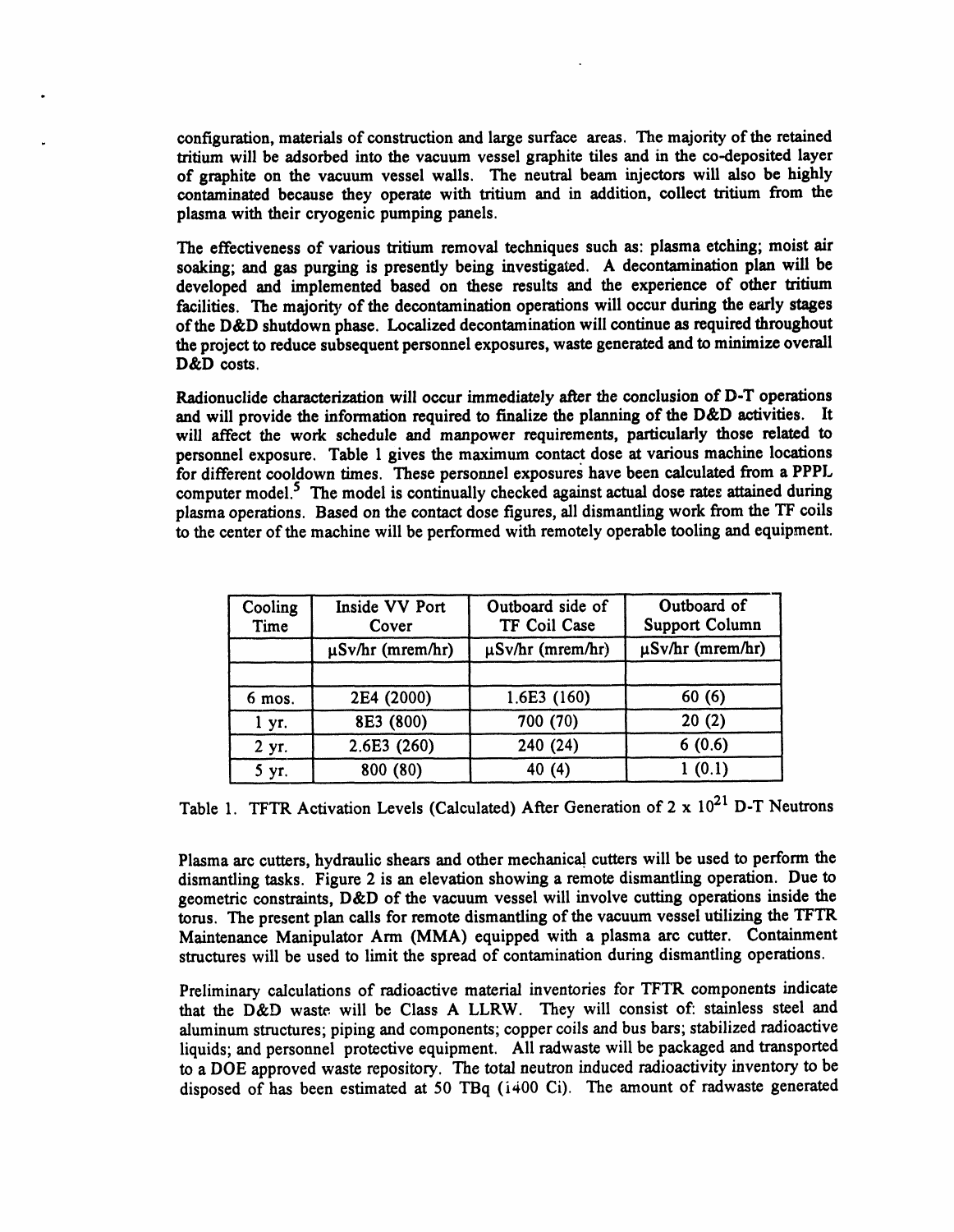configuration, materials of construction and large surface areas. The majority of the retained tritium will be adsorbed into the vacuum vessel graphite tiles and in the co-deposited layer of graphite on the vacuum vessel walls. The neutral beam injectors will also be highly contaminated because they operate with tritium and in addition, collect tritium from the plasma with their cryogenic pumping panels.

The effectiveness of various tritium removal techniques such as: plasma etching; moist air soaking; and gas purging is presently being investigated. A decontamination plan will be developed and implemented based on these results and the experience of other tritium facilities. The majority of the decontamination operations will occur during the early stages of the D&D shutdown phase. Localized decontamination will continue as required throughout the project to reduce subsequent personnel exposures, waste generated and to minimize overall D&D costs.

Radionuclide characterization will occur immediately after the conclusion of D-T operations and will provide the information required to finalize the planning of the D&D activities. It will affect the work schedule and manpower requirements, particularly those related to personnel exposure. Table 1 gives the maximum contact dose at various machine locations for different cooldown times. These personnel exposures have been calculated from a PPPL computer model.<sup>5</sup> The model is continually checked against actual dose rates attained during plasma operations. Based on the contact dose figures, all dismantling work from the TF coils to the center of the machine will be performed with remotely operable tooling and equipment.

| Cooling<br>Time | Inside VV Port<br>Cover | Outboard side of<br>TF Coil Case | Outboard of<br><b>Support Column</b> |
|-----------------|-------------------------|----------------------------------|--------------------------------------|
|                 | $\mu$ Sv/hr (mrem/hr)   | $\mu$ Sv/hr (mrem/hr)            | $\mu$ Sv/hr (mrem/hr)                |
|                 |                         |                                  |                                      |
| $6$ mos.        | 2E4 (2000)              | 1.6E3(160)                       | 60(6)                                |
| 1 yr.           | 8E3 (800)               | 700 (70)                         | 20(2)                                |
| 2 yr.           | 2.6E3 (260)             | 240 (24)                         | 6(0.6)                               |
| 5 yr.           | 800 (80)                | 40(4)                            | 1(0.1)                               |

Table 1. TFTR Activation Levels (Calculated) After Generation of 2  $\times$  10<sup>21</sup> D-T Neutrons

Plasma arc cutters, hydraulic shears and other mechanical cutters will be used to perform the dismantling tasks. Figure 2 is an elevation showing a remote dismantling operation. Due to geometric constraints, D&D of the vacuum vessel will involve cutting operations inside the torus. The present plan calls for remote dismantling of the vacuum vessel utilizing the TFTR Maintenance Manipulator Arm (MMA) equipped with a plasma arc cutter. Containment structures will be used to limit the spread of contamination during dismantling operations.

Preliminary calculations of radioactive material inventories for TFTR components indicate that the D&D waste will be Class A LLRW. They will consist of: stainless steel and aluminum structures; piping and components; copper coils and bus bars; stabilized radioactive liquids; and personnel protective equipment. All radwaste will be packaged and transported to a DOE approved waste repository. The total neutron induced radioactivity inventory to be disposed of has been estimated at 50 TBq (1400 Ci). The amount of radwaste generated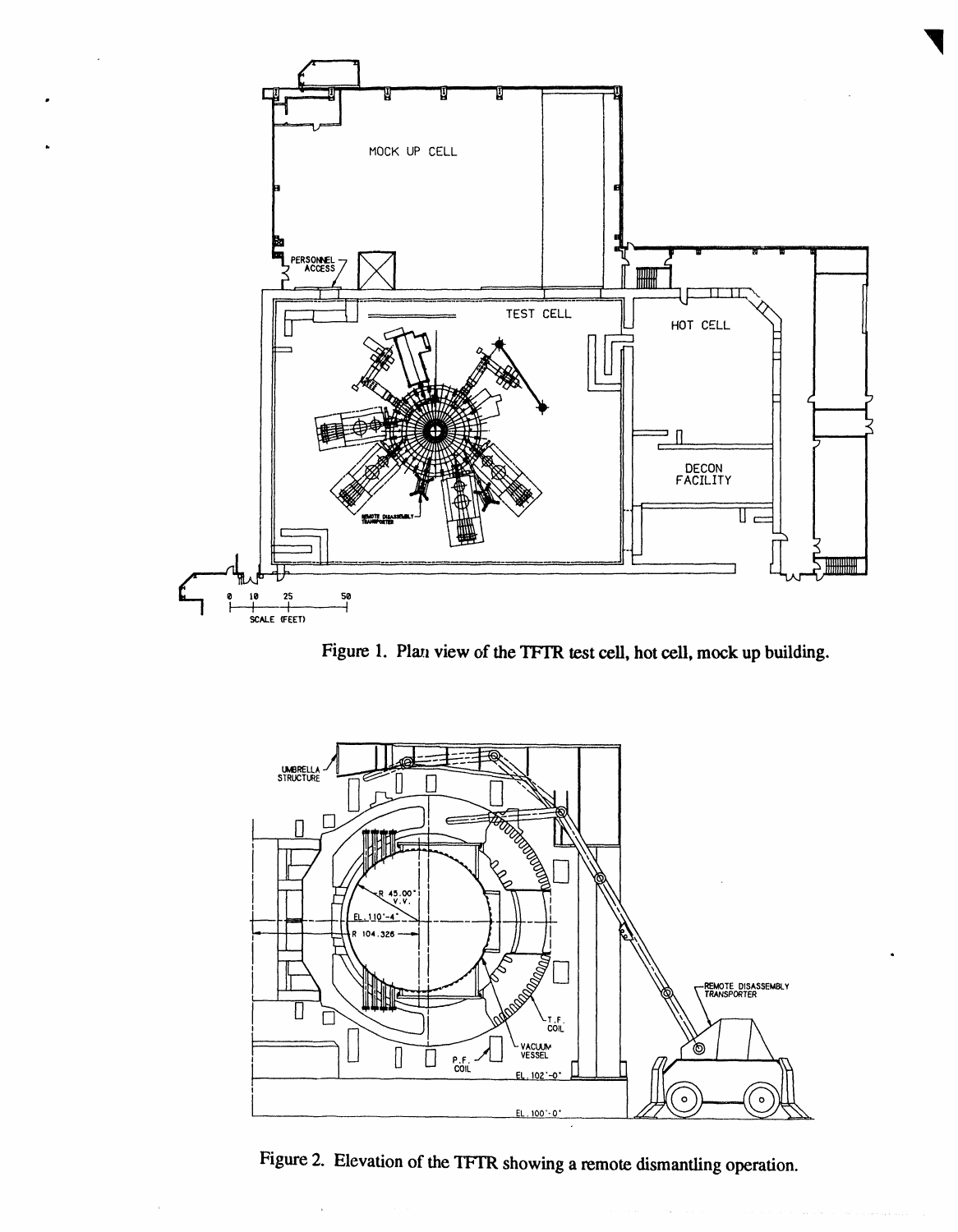

Figure 1. Plan view of the TFTR test cell, hot cell, mock up building.



Figure 2. Elevation of the TFTR showing a remote dismantling operation.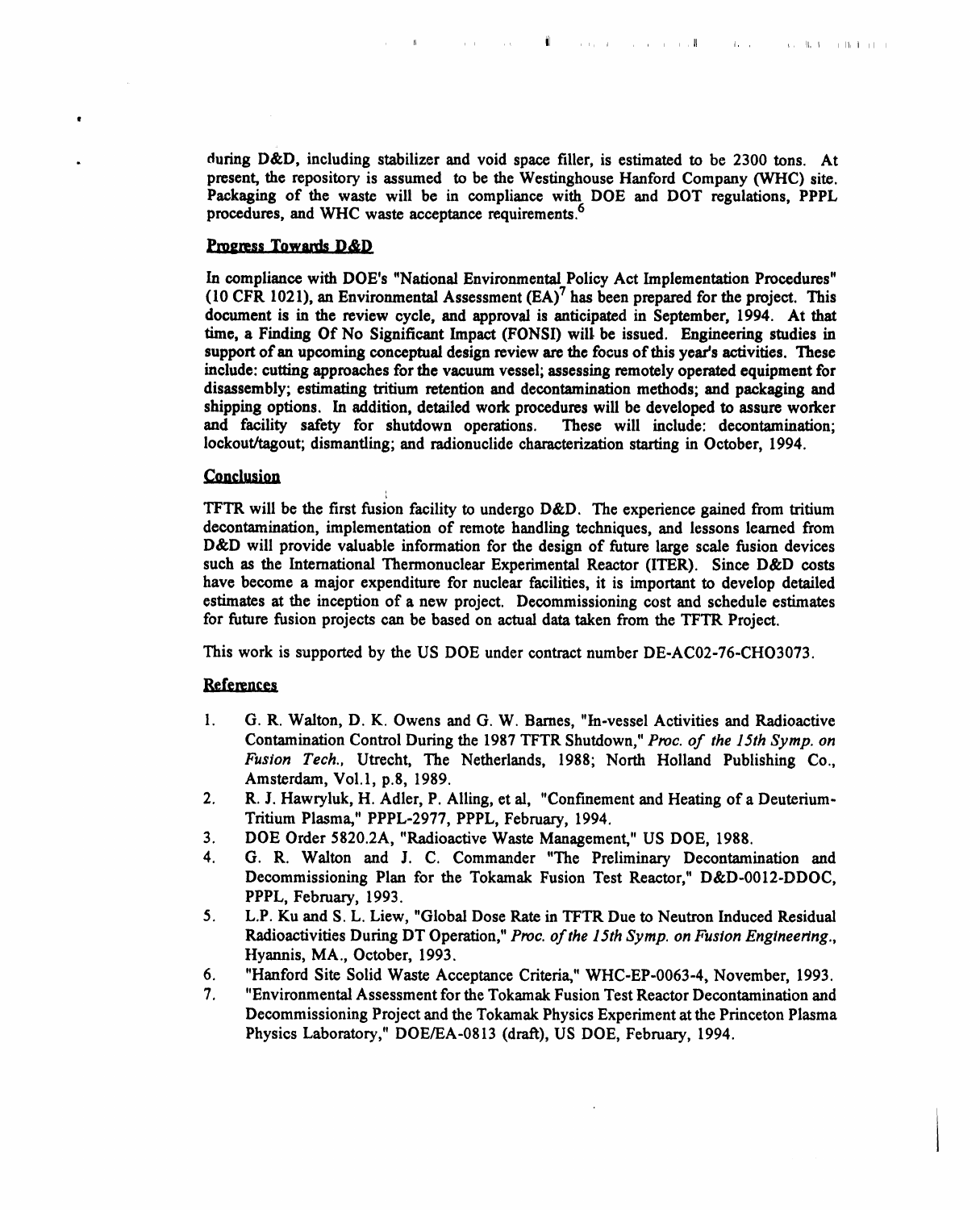during D&D, including stabilizer and void space filler, is estimated to be 2300 tons. At **presen**t**,** t**h**e **reposi**t*o***ry i**s **a**ss**umed** to **be** th**e We**sti**nghouse Hanford Comp**an**y (WHC)** site**. Packaging of** the **wa**ste **will b**e **in complianc**e **wi**th **DOE and DOT regulations, PPPL procedu**re**s, and WHC wa**ste acce**p**ta**nce require**m**ents.**6

# **Progress Towards D***&***D**

**In** com**pli**an**ce wi**th **DOE'**s "**National Envi**ro**nmentalPolicy Act Impl**e**m**e**n**t**ation P**ro**cedu**res" **(**1**0 CFR 1021), an Environm**e**ntalA**ss**essment (EA)**7**h**as **been p**re**paredfor** the **p**ro**ject. Thi**s **document i**s **in th**e **review cycle,** a**nd approv**al **i**s an**ti**c**ipated in S**e**pt**e**mber, 1994. A**t th**at** t**im**e**, a F**in**ding Of No Signi**fi**cant** Im**pact (FONSI) wil**t **be issued. Eng**in**eering** s**tudie**s in support of an upcoming conceptual design review are the focus of this year's activities. These **include: cutting** approaches for the **vacuum** vessel; assessing remotely operated equipment for disassembly; estimating tritium retention and decontamination methods; and packaging and shipping options. In addition, detailed work procedures will be developed to assure worker and facility safety for shutdown operations. These will include: decontamination; **and facility safety for shutdown operations**. **lockout***/***ragou**t;**disman**tl**ing**; an**d radionuclid**e **characteriza**t**ion**s**t**art**ing** in **Oc**t**ober, 199**4**.**

#### **Conclusion**

**TFTR will be** t**h**e fi**rst fusion f**ac**ility** t**o undergo D&D. The expe**ri**enc**e **gained from tritium deconta**min**a**ti**on, imple**m**entation of re**m**o**te **h**an**dling** te**chniques,** an**d l**e**sson**s **lea**r**ned** fr**om D&D will provide valuable** in**formation for** th**e design of** fut**u**re **larg**e **sc**al**e** fus**ion devices s**u**ch a**s th**e** Inte**rna**tio**nal The**rmon**ucle**ar **E**x**perimenta**l R**eac**to**r (**I**TE**R)**. S**in**ce D&D** co**s**ts **have become a major expendi**tu**re for nucle**ar **f**ac**ili**ti**es**, **it i**s **impor**t**an**t to **develop de**t**ailed** e**stima**tes **a**t the **incep**ti**on of a new pro**j**ect. Deco**m**mi**s**sion**in**g co**st an**d schedule es**ti**mate**s **for** fu**ture** fu**sion pro**j**ec**ts **can be b**as**ed on** ac**tual da**t**a taken from** th**e TFTR Pro**j**ect.**

**Thi**s **work is s**u**p**p**or**t**ed by** th**e US DOE** u**nder** c**on**t**ract n**u**mber DE**-**AC02-76**-**C**H**O3073.**

#### **References**

- **1**. **G**.**R**. **Wal**t**on, D**. K. Ow**ens** an**d G**. **W**. **Barnes,** "**In-vess**e**l Ac**ti**vi**ti**es** an**d Radioac**ti**ve Con**t**amina**t**ion Con**tr**ol During** th**e 1987 TFTR Shu**t**down,**" *Prec***.** *of the 1*5*th Syrup***.** *on Fus*i*on Tech***.**, **U**t**rech**t**, The Ne**th**erland**s, **1988**; **Nor**t**h Holl**an**d Publishing Co., Ams**te**rdam, Vol.1, p.8, 1989.**
- 2. R. J. Hawryluk, H. Adler, P. Alling, et al. "Confinement and Heating of a Deuterium-**T**riti**um Pl**asm**a,**" **PPPL-2977, PPPL, Febr**u**ary,** 1**994.**
- 3**. DOE Order** 5**820.***2***A,** "**Radio**acti**ve Was**te **M**an**a**g**emen**t," **US DOE, 198**8**.**
- **4**. **G.R. W**al**ton and J. C. Co**m**m**an**der** "Th**e Pre**l**i**min**ary D**e**contamina**t**ion** an**d Decommissioning Plan for** th**e Toka**m**ak Fusion Tes**t **Re**act*o***r,**" **D&D-0012-DDOC, PPPL**, **February,** 1**99**3**.**
- 5. **L**.**P. Ku and S. L. Liew,** "**Global Do**se **Ra**te in *T***FTR Due** to **Neu**t**ron Induc**e**d R**e**sidu**al Radioactivities During DT Operation," Proc. of the 15th Symp. on Fusion Engineering., **Hyannis, MA., O**cto**ber, 1993.**
- **6.** "**HartfordSi**te **Solid Was**te **Acceptan**c**e C**riteri**a,**" **WHC-EP-00**63**-4, Nov**e**mber, 199**3**.**
- **7.** "**Environmenta**l**Asses**s**men**t **for** th**e TokamakF**u**sion Tes**t **Reac**t**orDe**co**n**t**a**min**a**ti**on** an**d Decommissioning Pro**j**ec**t an**d** th**e Tokam**a**kPhy**s**ics Experimen**t**a**t th**e P**ri**n**c**e**t**on Plasma Phy**s**ics Labo**rat**o**ry**,**" **DOE***/***EA-081**3 **(dra**\_**), US DOE, Feb**ru**ary, 1994.**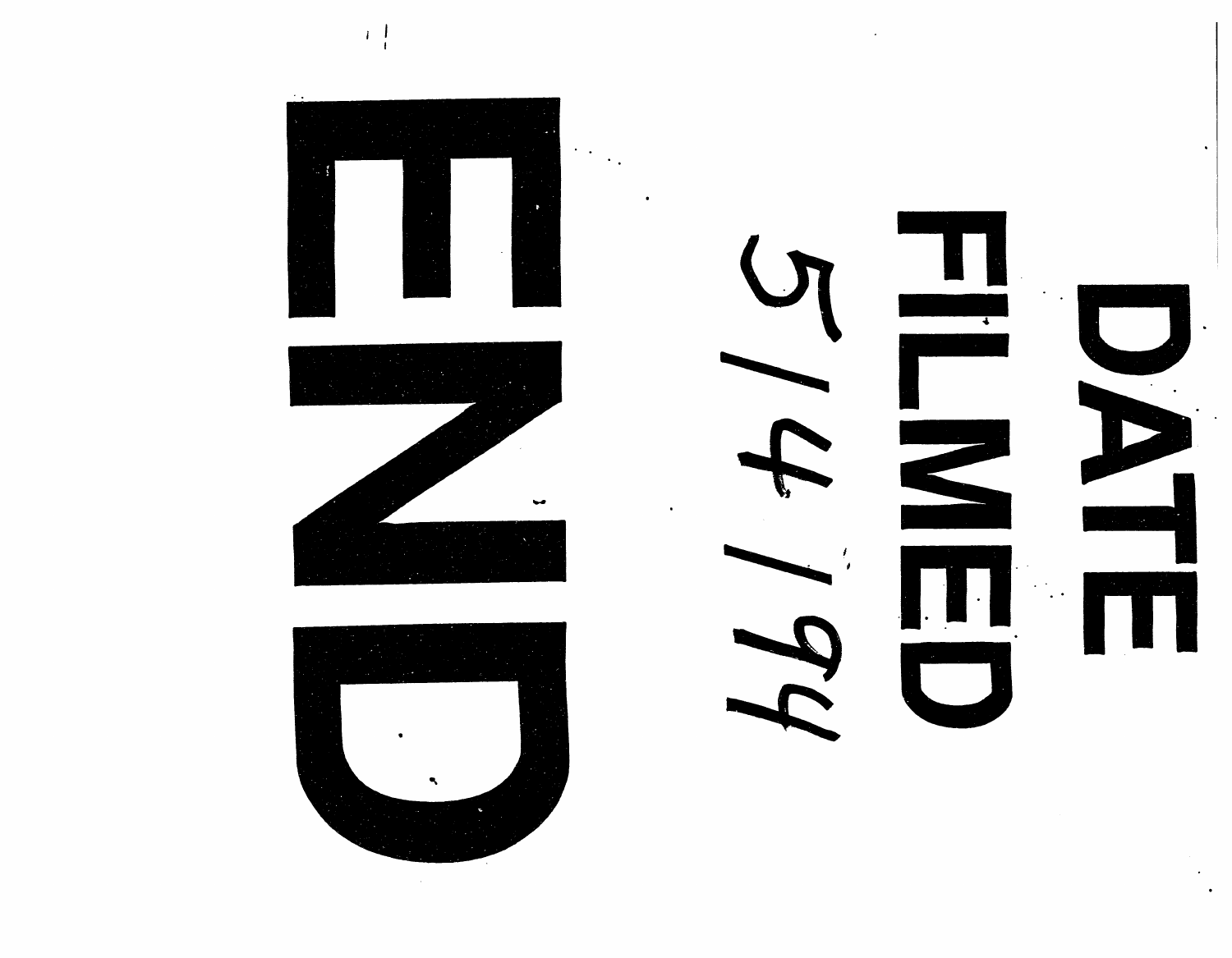